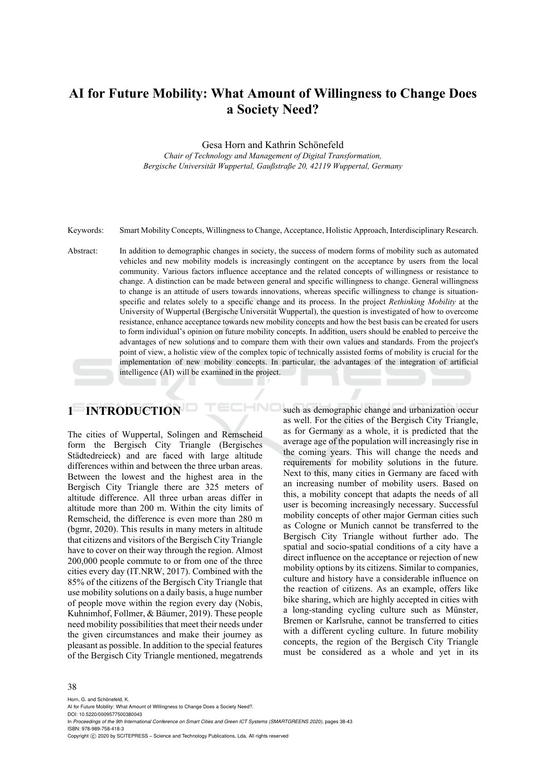# **AI for Future Mobility: What Amount of Willingness to Change Does a Society Need?**

Gesa Horn and Kathrin Schönefeld

*Chair of Technology and Management of Digital Transformation, Bergische Universität Wuppertal, Gaußstraße 20, 42119 Wuppertal, Germany* 

Keywords: Smart Mobility Concepts, Willingness to Change, Acceptance, Holistic Approach, Interdisciplinary Research.

Abstract: In addition to demographic changes in society, the success of modern forms of mobility such as automated vehicles and new mobility models is increasingly contingent on the acceptance by users from the local community. Various factors influence acceptance and the related concepts of willingness or resistance to change. A distinction can be made between general and specific willingness to change. General willingness to change is an attitude of users towards innovations, whereas specific willingness to change is situationspecific and relates solely to a specific change and its process. In the project *Rethinking Mobility* at the University of Wuppertal (Bergische Universität Wuppertal), the question is investigated of how to overcome resistance, enhance acceptance towards new mobility concepts and how the best basis can be created for users to form individual's opinion on future mobility concepts. In addition, users should be enabled to perceive the advantages of new solutions and to compare them with their own values and standards. From the project's point of view, a holistic view of the complex topic of technically assisted forms of mobility is crucial for the implementation of new mobility concepts. In particular, the advantages of the integration of artificial intelligence (AI) will be examined in the project.

HNC

# **1 INTRODUCTION**

The cities of Wuppertal, Solingen and Remscheid form the Bergisch City Triangle (Bergisches Städtedreieck) and are faced with large altitude differences within and between the three urban areas. Between the lowest and the highest area in the Bergisch City Triangle there are 325 meters of altitude difference. All three urban areas differ in altitude more than 200 m. Within the city limits of Remscheid, the difference is even more than 280 m (bgmr, 2020). This results in many meters in altitude that citizens and visitors of the Bergisch City Triangle have to cover on their way through the region. Almost 200,000 people commute to or from one of the three cities every day (IT.NRW, 2017). Combined with the 85% of the citizens of the Bergisch City Triangle that use mobility solutions on a daily basis, a huge number of people move within the region every day (Nobis, Kuhnimhof, Follmer, & Bäumer, 2019). These people need mobility possibilities that meet their needs under the given circumstances and make their journey as pleasant as possible. In addition to the special features of the Bergisch City Triangle mentioned, megatrends

such as demographic change and urbanization occur as well. For the cities of the Bergisch City Triangle, as for Germany as a whole, it is predicted that the average age of the population will increasingly rise in the coming years. This will change the needs and requirements for mobility solutions in the future. Next to this, many cities in Germany are faced with an increasing number of mobility users. Based on this, a mobility concept that adapts the needs of all user is becoming increasingly necessary. Successful mobility concepts of other major German cities such as Cologne or Munich cannot be transferred to the Bergisch City Triangle without further ado. The spatial and socio-spatial conditions of a city have a direct influence on the acceptance or rejection of new mobility options by its citizens. Similar to companies, culture and history have a considerable influence on the reaction of citizens. As an example, offers like bike sharing, which are highly accepted in cities with a long-standing cycling culture such as Münster, Bremen or Karlsruhe, cannot be transferred to cities with a different cycling culture. In future mobility concepts, the region of the Bergisch City Triangle must be considered as a whole and yet in its

#### 38

Horn, G. and Schönefeld, K.

DOI: 10.5220/0009577500380043

In *Proceedings of the 9th International Conference on Smart Cities and Green ICT Systems (SMARTGREENS 2020)*, pages 38-43 ISBN: 978-989-758-418-3

Copyright (C) 2020 by SCITEPRESS - Science and Technology Publications, Lda. All rights reserved

AI for Future Mobility: What Amount of Willingness to Change Does a Society Need?.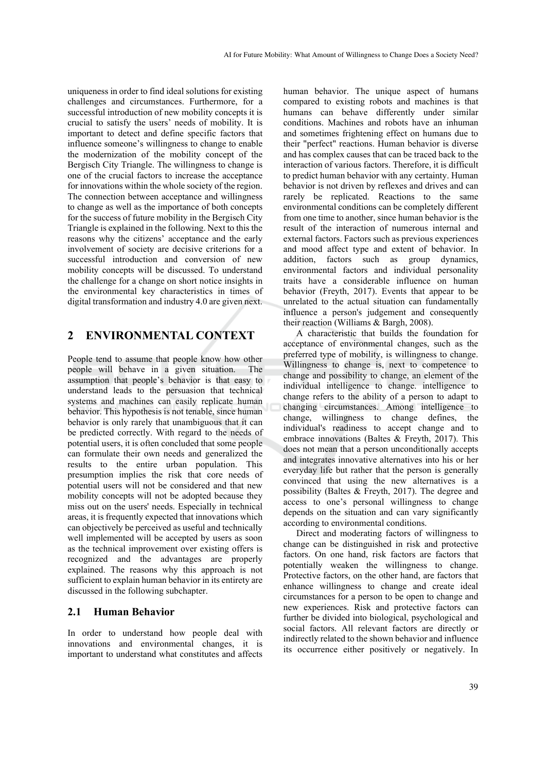uniqueness in order to find ideal solutions for existing challenges and circumstances. Furthermore, for a successful introduction of new mobility concepts it is crucial to satisfy the users' needs of mobility. It is important to detect and define specific factors that influence someone's willingness to change to enable the modernization of the mobility concept of the Bergisch City Triangle. The willingness to change is one of the crucial factors to increase the acceptance for innovations within the whole society of the region. The connection between acceptance and willingness to change as well as the importance of both concepts for the success of future mobility in the Bergisch City Triangle is explained in the following. Next to this the reasons why the citizens' acceptance and the early involvement of society are decisive criterions for a successful introduction and conversion of new mobility concepts will be discussed. To understand the challenge for a change on short notice insights in the environmental key characteristics in times of digital transformation and industry 4.0 are given next.

### **2 ENVIRONMENTAL CONTEXT**

People tend to assume that people know how other people will behave in a given situation. The assumption that people's behavior is that easy to understand leads to the persuasion that technical systems and machines can easily replicate human behavior. This hypothesis is not tenable, since human behavior is only rarely that unambiguous that it can be predicted correctly. With regard to the needs of potential users, it is often concluded that some people can formulate their own needs and generalized the results to the entire urban population. This presumption implies the risk that core needs of potential users will not be considered and that new mobility concepts will not be adopted because they miss out on the users' needs. Especially in technical areas, it is frequently expected that innovations which can objectively be perceived as useful and technically well implemented will be accepted by users as soon as the technical improvement over existing offers is recognized and the advantages are properly explained. The reasons why this approach is not sufficient to explain human behavior in its entirety are discussed in the following subchapter.

#### **2.1 Human Behavior**

In order to understand how people deal with innovations and environmental changes, it is important to understand what constitutes and affects human behavior. The unique aspect of humans compared to existing robots and machines is that humans can behave differently under similar conditions. Machines and robots have an inhuman and sometimes frightening effect on humans due to their "perfect" reactions. Human behavior is diverse and has complex causes that can be traced back to the interaction of various factors. Therefore, it is difficult to predict human behavior with any certainty. Human behavior is not driven by reflexes and drives and can rarely be replicated. Reactions to the same environmental conditions can be completely different from one time to another, since human behavior is the result of the interaction of numerous internal and external factors. Factors such as previous experiences and mood affect type and extent of behavior. In addition, factors such as group dynamics, environmental factors and individual personality traits have a considerable influence on human behavior (Freyth, 2017). Events that appear to be unrelated to the actual situation can fundamentally influence a person's judgement and consequently their reaction (Williams & Bargh, 2008).

A characteristic that builds the foundation for acceptance of environmental changes, such as the preferred type of mobility, is willingness to change. Willingness to change is, next to competence to change and possibility to change, an element of the individual intelligence to change. intelligence to change refers to the ability of a person to adapt to changing circumstances. Among intelligence to change, willingness to change defines, the individual's readiness to accept change and to embrace innovations (Baltes & Freyth, 2017). This does not mean that a person unconditionally accepts and integrates innovative alternatives into his or her everyday life but rather that the person is generally convinced that using the new alternatives is a possibility (Baltes & Freyth, 2017). The degree and access to one's personal willingness to change depends on the situation and can vary significantly according to environmental conditions.

Direct and moderating factors of willingness to change can be distinguished in risk and protective factors. On one hand, risk factors are factors that potentially weaken the willingness to change. Protective factors, on the other hand, are factors that enhance willingness to change and create ideal circumstances for a person to be open to change and new experiences. Risk and protective factors can further be divided into biological, psychological and social factors. All relevant factors are directly or indirectly related to the shown behavior and influence its occurrence either positively or negatively. In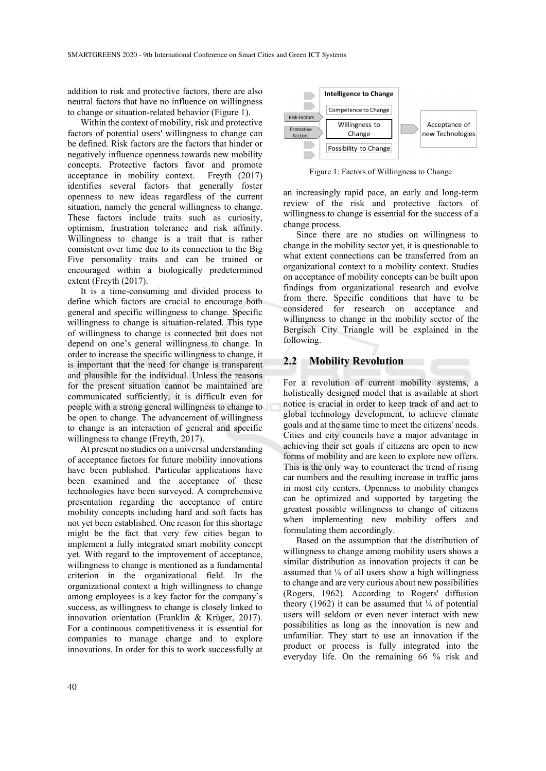addition to risk and protective factors, there are also neutral factors that have no influence on willingness to change or situation-related behavior (Figure 1).

Within the context of mobility, risk and protective factors of potential users' willingness to change can be defined. Risk factors are the factors that hinder or negatively influence openness towards new mobility concepts. Protective factors favor and promote acceptance in mobility context. Freyth (2017) identifies several factors that generally foster openness to new ideas regardless of the current situation, namely the general willingness to change. These factors include traits such as curiosity, optimism, frustration tolerance and risk affinity. Willingness to change is a trait that is rather consistent over time due to its connection to the Big Five personality traits and can be trained or encouraged within a biologically predetermined extent (Freyth (2017).

It is a time-consuming and divided process to define which factors are crucial to encourage both general and specific willingness to change. Specific willingness to change is situation-related. This type of willingness to change is connected but does not depend on one's general willingness to change. In order to increase the specific willingness to change, it is important that the need for change is transparent and plausible for the individual. Unless the reasons for the present situation cannot be maintained are communicated sufficiently, it is difficult even for people with a strong general willingness to change to be open to change. The advancement of willingness to change is an interaction of general and specific willingness to change (Freyth, 2017).

At present no studies on a universal understanding of acceptance factors for future mobility innovations have been published. Particular applications have been examined and the acceptance of these technologies have been surveyed. A comprehensive presentation regarding the acceptance of entire mobility concepts including hard and soft facts has not yet been established. One reason for this shortage might be the fact that very few cities began to implement a fully integrated smart mobility concept yet. With regard to the improvement of acceptance, willingness to change is mentioned as a fundamental criterion in the organizational field. In the organizational context a high willingness to change among employees is a key factor for the company's success, as willingness to change is closely linked to innovation orientation (Franklin & Krüger, 2017). For a continuous competitiveness it is essential for companies to manage change and to explore innovations. In order for this to work successfully at



Figure 1: Factors of Willingness to Change

an increasingly rapid pace, an early and long-term review of the risk and protective factors of willingness to change is essential for the success of a change process.

Since there are no studies on willingness to change in the mobility sector yet, it is questionable to what extent connections can be transferred from an organizational context to a mobility context. Studies on acceptance of mobility concepts can be built upon findings from organizational research and evolve from there. Specific conditions that have to be considered for research on acceptance and willingness to change in the mobility sector of the Bergisch City Triangle will be explained in the following.

#### **2.2 Mobility Revolution**

For a revolution of current mobility systems, a holistically designed model that is available at short notice is crucial in order to keep track of and act to global technology development, to achieve climate goals and at the same time to meet the citizens' needs. Cities and city councils have a major advantage in achieving their set goals if citizens are open to new forms of mobility and are keen to explore new offers. This is the only way to counteract the trend of rising car numbers and the resulting increase in traffic jams in most city centers. Openness to mobility changes can be optimized and supported by targeting the greatest possible willingness to change of citizens when implementing new mobility offers and formulating them accordingly.

Based on the assumption that the distribution of willingness to change among mobility users shows a similar distribution as innovation projects it can be assumed that  $\frac{1}{6}$  of all users show a high willingness to change and are very curious about new possibilities (Rogers, 1962). According to Rogers' diffusion theory (1962) it can be assumed that  $\frac{1}{6}$  of potential users will seldom or even never interact with new possibilities as long as the innovation is new and unfamiliar. They start to use an innovation if the product or process is fully integrated into the everyday life. On the remaining 66 % risk and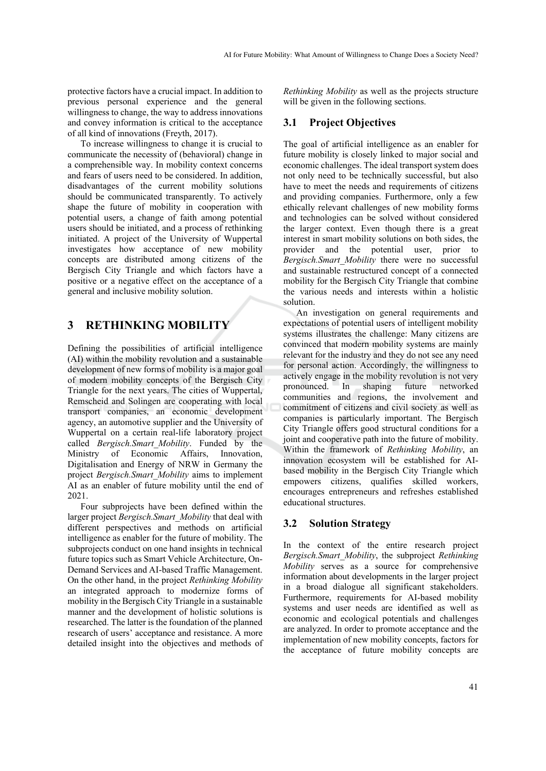protective factors have a crucial impact. In addition to previous personal experience and the general willingness to change, the way to address innovations and convey information is critical to the acceptance of all kind of innovations (Freyth, 2017).

To increase willingness to change it is crucial to communicate the necessity of (behavioral) change in a comprehensible way. In mobility context concerns and fears of users need to be considered. In addition, disadvantages of the current mobility solutions should be communicated transparently. To actively shape the future of mobility in cooperation with potential users, a change of faith among potential users should be initiated, and a process of rethinking initiated. A project of the University of Wuppertal investigates how acceptance of new mobility concepts are distributed among citizens of the Bergisch City Triangle and which factors have a positive or a negative effect on the acceptance of a general and inclusive mobility solution.

## **3 RETHINKING MOBILITY**

Defining the possibilities of artificial intelligence (AI) within the mobility revolution and a sustainable development of new forms of mobility is a major goal of modern mobility concepts of the Bergisch City Triangle for the next years. The cities of Wuppertal, Remscheid and Solingen are cooperating with local transport companies, an economic development agency, an automotive supplier and the University of Wuppertal on a certain real-life laboratory project called *Bergisch.Smart\_Mobility*. Funded by the Ministry of Economic Affairs, Innovation, Digitalisation and Energy of NRW in Germany the project *Bergisch.Smart\_Mobility* aims to implement AI as an enabler of future mobility until the end of 2021.

Four subprojects have been defined within the larger project *Bergisch.Smart\_Mobility* that deal with different perspectives and methods on artificial intelligence as enabler for the future of mobility. The subprojects conduct on one hand insights in technical future topics such as Smart Vehicle Architecture, On-Demand Services and AI-based Traffic Management. On the other hand, in the project *Rethinking Mobility* an integrated approach to modernize forms of mobility in the Bergisch City Triangle in a sustainable manner and the development of holistic solutions is researched. The latter is the foundation of the planned research of users' acceptance and resistance. A more detailed insight into the objectives and methods of *Rethinking Mobility* as well as the projects structure will be given in the following sections.

### **3.1 Project Objectives**

The goal of artificial intelligence as an enabler for future mobility is closely linked to major social and economic challenges. The ideal transport system does not only need to be technically successful, but also have to meet the needs and requirements of citizens and providing companies. Furthermore, only a few ethically relevant challenges of new mobility forms and technologies can be solved without considered the larger context. Even though there is a great interest in smart mobility solutions on both sides, the provider and the potential user, prior to *Bergisch.Smart\_Mobility* there were no successful and sustainable restructured concept of a connected mobility for the Bergisch City Triangle that combine the various needs and interests within a holistic solution.

An investigation on general requirements and expectations of potential users of intelligent mobility systems illustrates the challenge: Many citizens are convinced that modern mobility systems are mainly relevant for the industry and they do not see any need for personal action. Accordingly, the willingness to actively engage in the mobility revolution is not very pronounced. In shaping future networked communities and regions, the involvement and commitment of citizens and civil society as well as companies is particularly important. The Bergisch City Triangle offers good structural conditions for a joint and cooperative path into the future of mobility. Within the framework of *Rethinking Mobility*, an innovation ecosystem will be established for AIbased mobility in the Bergisch City Triangle which empowers citizens, qualifies skilled workers, encourages entrepreneurs and refreshes established educational structures.

### **3.2 Solution Strategy**

In the context of the entire research project *Bergisch.Smart\_Mobility*, the subproject *Rethinking Mobility* serves as a source for comprehensive information about developments in the larger project in a broad dialogue all significant stakeholders. Furthermore, requirements for AI-based mobility systems and user needs are identified as well as economic and ecological potentials and challenges are analyzed. In order to promote acceptance and the implementation of new mobility concepts, factors for the acceptance of future mobility concepts are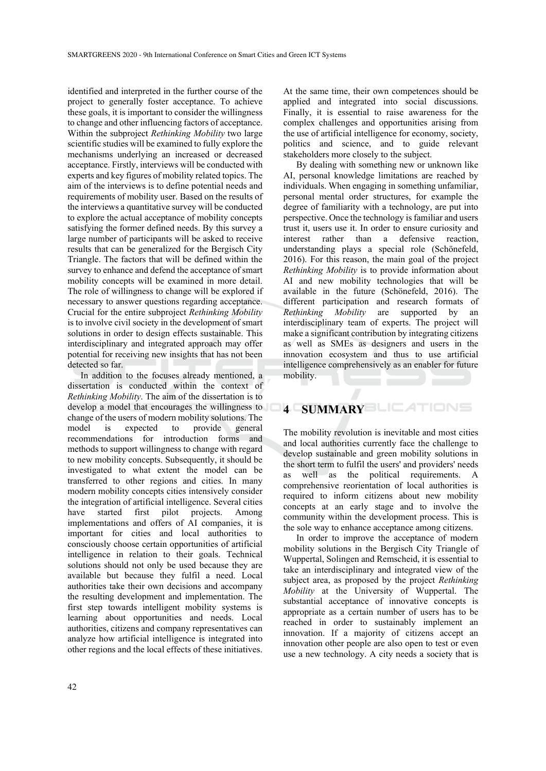identified and interpreted in the further course of the project to generally foster acceptance. To achieve these goals, it is important to consider the willingness to change and other influencing factors of acceptance. Within the subproject *Rethinking Mobility* two large scientific studies will be examined to fully explore the mechanisms underlying an increased or decreased acceptance. Firstly, interviews will be conducted with experts and key figures of mobility related topics. The aim of the interviews is to define potential needs and requirements of mobility user. Based on the results of the interviews a quantitative survey will be conducted to explore the actual acceptance of mobility concepts satisfying the former defined needs. By this survey a large number of participants will be asked to receive results that can be generalized for the Bergisch City Triangle. The factors that will be defined within the survey to enhance and defend the acceptance of smart mobility concepts will be examined in more detail. The role of willingness to change will be explored if necessary to answer questions regarding acceptance. Crucial for the entire subproject *Rethinking Mobility* is to involve civil society in the development of smart solutions in order to design effects sustainable. This interdisciplinary and integrated approach may offer potential for receiving new insights that has not been detected so far.

In addition to the focuses already mentioned, a dissertation is conducted within the context of *Rethinking Mobility*. The aim of the dissertation is to develop a model that encourages the willingness to change of the users of modern mobility solutions. The model is expected to provide general recommendations for introduction forms and methods to support willingness to change with regard to new mobility concepts. Subsequently, it should be investigated to what extent the model can be transferred to other regions and cities. In many modern mobility concepts cities intensively consider the integration of artificial intelligence. Several cities have started first pilot projects. Among implementations and offers of AI companies, it is important for cities and local authorities to consciously choose certain opportunities of artificial intelligence in relation to their goals. Technical solutions should not only be used because they are available but because they fulfil a need. Local authorities take their own decisions and accompany the resulting development and implementation. The first step towards intelligent mobility systems is learning about opportunities and needs. Local authorities, citizens and company representatives can analyze how artificial intelligence is integrated into other regions and the local effects of these initiatives.

At the same time, their own competences should be applied and integrated into social discussions. Finally, it is essential to raise awareness for the complex challenges and opportunities arising from the use of artificial intelligence for economy, society, politics and science, and to guide relevant stakeholders more closely to the subject.

By dealing with something new or unknown like AI, personal knowledge limitations are reached by individuals. When engaging in something unfamiliar, personal mental order structures, for example the degree of familiarity with a technology, are put into perspective. Once the technology is familiar and users trust it, users use it. In order to ensure curiosity and interest rather than a defensive reaction, understanding plays a special role (Schönefeld, 2016). For this reason, the main goal of the project *Rethinking Mobility* is to provide information about AI and new mobility technologies that will be available in the future (Schönefeld, 2016). The different participation and research formats of *Rethinking Mobility* are supported by an interdisciplinary team of experts. The project will make a significant contribution by integrating citizens as well as SMEs as designers and users in the innovation ecosystem and thus to use artificial intelligence comprehensively as an enabler for future mobility.

### **4 SUMMARY**

The mobility revolution is inevitable and most cities and local authorities currently face the challenge to develop sustainable and green mobility solutions in the short term to fulfil the users' and providers' needs as well as the political requirements. A comprehensive reorientation of local authorities is required to inform citizens about new mobility concepts at an early stage and to involve the community within the development process. This is the sole way to enhance acceptance among citizens.

In order to improve the acceptance of modern mobility solutions in the Bergisch City Triangle of Wuppertal, Solingen and Remscheid, it is essential to take an interdisciplinary and integrated view of the subject area, as proposed by the project *Rethinking Mobility* at the University of Wuppertal. The substantial acceptance of innovative concepts is appropriate as a certain number of users has to be reached in order to sustainably implement an innovation. If a majority of citizens accept an innovation other people are also open to test or even use a new technology. A city needs a society that is